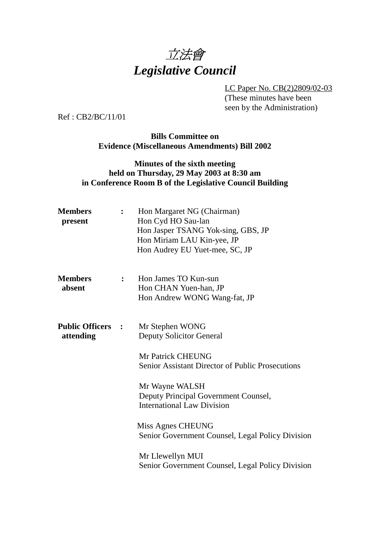

LC Paper No. CB(2)2809/02-03 (These minutes have been seen by the Administration)

Ref : CB2/BC/11/01

### **Bills Committee on Evidence (Miscellaneous Amendments) Bill 2002**

# **Minutes of the sixth meeting held on Thursday, 29 May 2003 at 8:30 am in Conference Room B of the Legislative Council Building**

| <b>Members</b><br>present             | $\ddot{\cdot}$ | Hon Margaret NG (Chairman)<br>Hon Cyd HO Sau-lan<br>Hon Jasper TSANG Yok-sing, GBS, JP<br>Hon Miriam LAU Kin-yee, JP<br>Hon Audrey EU Yuet-mee, SC, JP |  |
|---------------------------------------|----------------|--------------------------------------------------------------------------------------------------------------------------------------------------------|--|
| <b>Members</b><br>absent              | $\mathbf{L}$   | Hon James TO Kun-sun<br>Hon CHAN Yuen-han, JP<br>Hon Andrew WONG Wang-fat, JP                                                                          |  |
| <b>Public Officers :</b><br>attending |                | Mr Stephen WONG<br><b>Deputy Solicitor General</b>                                                                                                     |  |
|                                       |                | Mr Patrick CHEUNG<br><b>Senior Assistant Director of Public Prosecutions</b>                                                                           |  |
|                                       |                | Mr Wayne WALSH<br>Deputy Principal Government Counsel,<br><b>International Law Division</b>                                                            |  |
|                                       |                | Miss Agnes CHEUNG<br>Senior Government Counsel, Legal Policy Division                                                                                  |  |
|                                       |                | Mr Llewellyn MUI<br>Senior Government Counsel, Legal Policy Division                                                                                   |  |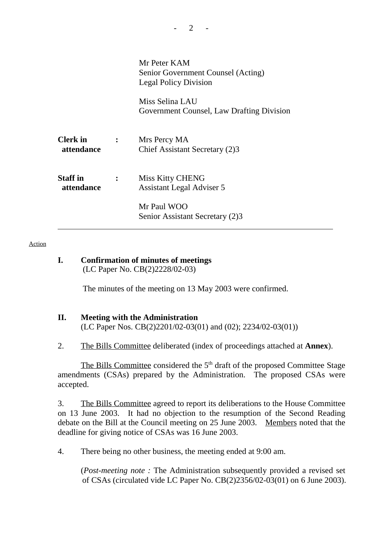|                               |              | Mr Peter KAM<br>Senior Government Counsel (Acting)<br><b>Legal Policy Division</b> |  |
|-------------------------------|--------------|------------------------------------------------------------------------------------|--|
|                               |              | Miss Selina LAU<br>Government Counsel, Law Drafting Division                       |  |
| <b>Clerk</b> in<br>attendance | $\mathbf{L}$ | Mrs Percy MA<br>Chief Assistant Secretary (2)3                                     |  |
| <b>Staff</b> in<br>attendance |              | <b>Miss Kitty CHENG</b><br><b>Assistant Legal Adviser 5</b>                        |  |
|                               |              | Mr Paul WOO<br>Senior Assistant Secretary (2)3                                     |  |

#### Action

**I. Confirmation of minutes of meetings** (LC Paper No. CB(2)2228/02-03)

The minutes of the meeting on 13 May 2003 were confirmed.

#### **II. Meeting with the Administration** (LC Paper Nos. CB(2)2201/02-03(01) and (02); 2234/02-03(01))

2. The Bills Committee deliberated (index of proceedings attached at **Annex**).

The Bills Committee considered the  $5<sup>th</sup>$  draft of the proposed Committee Stage amendments (CSAs) prepared by the Administration. The proposed CSAs were accepted.

3. The Bills Committee agreed to report its deliberations to the House Committee on 13 June 2003. It had no objection to the resumption of the Second Reading debate on the Bill at the Council meeting on 25 June 2003. Members noted that the deadline for giving notice of CSAs was 16 June 2003.

4. There being no other business, the meeting ended at 9:00 am.

(*Post-meeting note :* The Administration subsequently provided a revised set of CSAs (circulated vide LC Paper No. CB(2)2356/02-03(01) on 6 June 2003).

<sup>2</sup>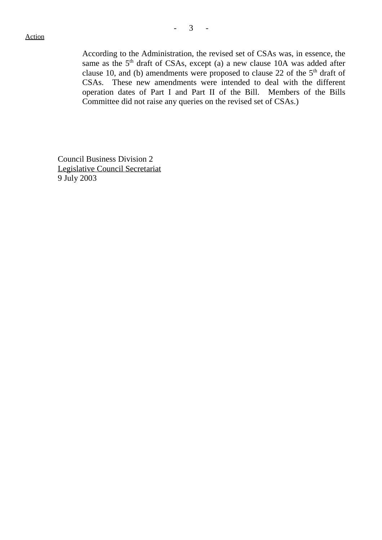According to the Administration, the revised set of CSAs was, in essence, the same as the  $5<sup>th</sup>$  draft of CSAs, except (a) a new clause 10A was added after clause 10, and (b) amendments were proposed to clause 22 of the  $5<sup>th</sup>$  draft of CSAs. These new amendments were intended to deal with the different operation dates of Part I and Part II of the Bill. Members of the Bills Committee did not raise any queries on the revised set of CSAs.)

Council Business Division 2 Legislative Council Secretariat 9 July 2003